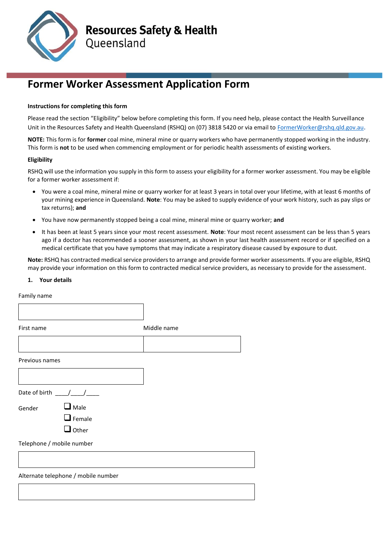

# **Former Worker Assessment Application Form**

#### **Instructions for completing this form**

Please read the section "Eligibility" below before completing this form. If you need help, please contact the Health Surveillance Unit in the Resources Safety and Health Queensland (RSHQ) on (07) 3818 5420 or via email t[o FormerWorker@rshq.qld.gov.au](mailto:FormerWorker@rshq.qld.gov.au).

**NOTE:** This form is for **former** coal mine, mineral mine or quarry workers who have permanently stopped working in the industry. This form is **not** to be used when commencing employment or for periodic health assessments of existing workers.

#### **Eligibility**

RSHQ will use the information you supply in this form to assess your eligibility for a former worker assessment. You may be eligible for a former worker assessment if:

- You were a coal mine, mineral mine or quarry worker for at least 3 years in total over your lifetime, with at least 6 months of your mining experience in Queensland. **Note**: You may be asked to supply evidence of your work history, such as pay slips or tax returns); **and**
- You have now permanently stopped being a coal mine, mineral mine or quarry worker; **and**
- It has been at least 5 years since your most recent assessment. **Note**: Your most recent assessment can be less than 5 years ago if a doctor has recommended a sooner assessment, as shown in your last health assessment record or if specified on a medical certificate that you have symptoms that may indicate a respiratory disease caused by exposure to dust.

**Note:** RSHQ has contracted medical service providers to arrange and provide former worker assessments. If you are eligible, RSHQ may provide your information on this form to contracted medical service providers, as necessary to provide for the assessment.

#### **1. Your details**

#### Family name

| Middle name |
|-------------|
|             |
|             |
|             |
|             |
|             |
|             |
|             |
|             |
|             |
|             |
|             |
|             |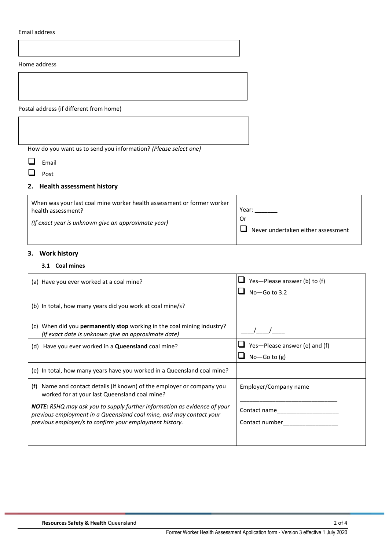#### Email address

#### Home address

Postal address (if different from home)

How do you want us to send you information? *(Please select one)*

- $\Box$  Email
- **D** Post

#### **2. Health assessment history**

| When was your last coal mine worker health assessment or former worker | Year:                              |
|------------------------------------------------------------------------|------------------------------------|
| health assessment?                                                     | 0r                                 |
| (If exact year is unknown give an approximate year)                    | Never undertaken either assessment |

### **3. Work history**

#### **3.1 Coal mines**

| (a) Have you ever worked at a coal mine?                                                                                                               | Yes-Please answer (b) to (f)                 |
|--------------------------------------------------------------------------------------------------------------------------------------------------------|----------------------------------------------|
|                                                                                                                                                        | $No$ –Go to 3.2                              |
| (b) In total, how many years did you work at coal mine/s?                                                                                              |                                              |
| (c) When did you <b>permanently stop</b> working in the coal mining industry?<br>(If exact date is unknown give an approximate date)                   |                                              |
| (d) Have you ever worked in a <b>Queensland</b> coal mine?                                                                                             | $\blacksquare$ Yes-Please answer (e) and (f) |
|                                                                                                                                                        | $No$ -Go to $(g)$                            |
| (e) In total, how many years have you worked in a Queensland coal mine?                                                                                |                                              |
| Name and contact details (if known) of the employer or company you<br>(f)<br>worked for at your last Queensland coal mine?                             | Employer/Company name                        |
| <b>NOTE:</b> RSHQ may ask you to supply further information as evidence of your<br>previous employment in a Queensland coal mine, and may contact your | Contact name                                 |
| previous employer/s to confirm your employment history.                                                                                                | Contact number                               |
|                                                                                                                                                        |                                              |
|                                                                                                                                                        |                                              |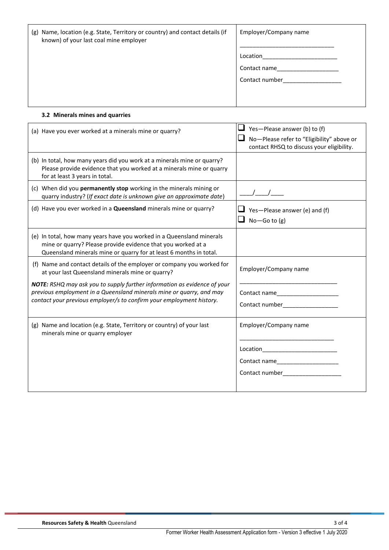| (g) Name, location (e.g. State, Territory or country) and contact details (if<br>known) of your last coal mine employer | Employer/Company name |
|-------------------------------------------------------------------------------------------------------------------------|-----------------------|
|                                                                                                                         | Location              |
|                                                                                                                         | Contact name          |
|                                                                                                                         | Contact number        |
|                                                                                                                         |                       |
|                                                                                                                         |                       |

# **3.2 Minerals mines and quarries**

| (a) Have you ever worked at a minerals mine or quarry?                                                                                                                                                                          | $\Box$ Yes-Please answer (b) to (f)<br>No-Please refer to "Eligibility" above or<br>contact RHSQ to discuss your eligibility. |
|---------------------------------------------------------------------------------------------------------------------------------------------------------------------------------------------------------------------------------|-------------------------------------------------------------------------------------------------------------------------------|
| (b) In total, how many years did you work at a minerals mine or quarry?<br>Please provide evidence that you worked at a minerals mine or quarry<br>for at least 3 years in total.                                               |                                                                                                                               |
| (c) When did you permanently stop working in the minerals mining or<br>quarry industry? (If exact date is unknown give an approximate date)                                                                                     | $\frac{1}{1}$                                                                                                                 |
| (d) Have you ever worked in a Queensland minerals mine or quarry?                                                                                                                                                               | $\Box$ Yes-Please answer (e) and (f)<br>$No$ -Go to $(g)$                                                                     |
| (e) In total, how many years have you worked in a Queensland minerals<br>mine or quarry? Please provide evidence that you worked at a<br>Queensland minerals mine or quarry for at least 6 months in total.                     |                                                                                                                               |
| (f) Name and contact details of the employer or company you worked for<br>at your last Queensland minerals mine or quarry?                                                                                                      | Employer/Company name                                                                                                         |
| <b>NOTE:</b> RSHQ may ask you to supply further information as evidence of your<br>previous employment in a Queensland minerals mine or quarry, and may<br>contact your previous employer/s to confirm your employment history. | Contact name_____________________                                                                                             |
| (g) Name and location (e.g. State, Territory or country) of your last<br>minerals mine or quarry employer                                                                                                                       | Employer/Company name                                                                                                         |
|                                                                                                                                                                                                                                 |                                                                                                                               |
|                                                                                                                                                                                                                                 | Contact name                                                                                                                  |
|                                                                                                                                                                                                                                 | Contact number <b>Exercise 2018</b>                                                                                           |